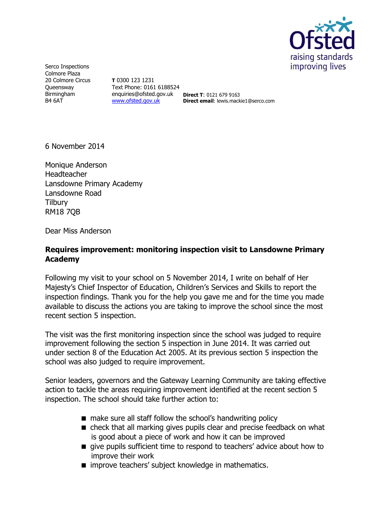

Serco Inspections Colmore Plaza 20 Colmore Circus **Oueensway** Birmingham B4 6AT

**T** 0300 123 1231 Text Phone: 0161 6188524 enquiries@ofsted.gov.uk **Direct T**: 0121 679 9163 [www.ofsted.gov.uk](http://www.ofsted.gov.uk/)

**Direct email**: lewis.mackie1@serco.com

6 November 2014

Monique Anderson Headteacher Lansdowne Primary Academy Lansdowne Road **Tilbury** RM18 7QB

Dear Miss Anderson

## **Requires improvement: monitoring inspection visit to Lansdowne Primary Academy**

Following my visit to your school on 5 November 2014, I write on behalf of Her Majesty's Chief Inspector of Education, Children's Services and Skills to report the inspection findings. Thank you for the help you gave me and for the time you made available to discuss the actions you are taking to improve the school since the most recent section 5 inspection.

The visit was the first monitoring inspection since the school was judged to require improvement following the section 5 inspection in June 2014. It was carried out under section 8 of the Education Act 2005. At its previous section 5 inspection the school was also judged to require improvement.

Senior leaders, governors and the Gateway Learning Community are taking effective action to tackle the areas requiring improvement identified at the recent section 5 inspection. The school should take further action to:

- make sure all staff follow the school's handwriting policy
- check that all marking gives pupils clear and precise feedback on what is good about a piece of work and how it can be improved
- qive pupils sufficient time to respond to teachers' advice about how to improve their work
- $\blacksquare$  improve teachers' subject knowledge in mathematics.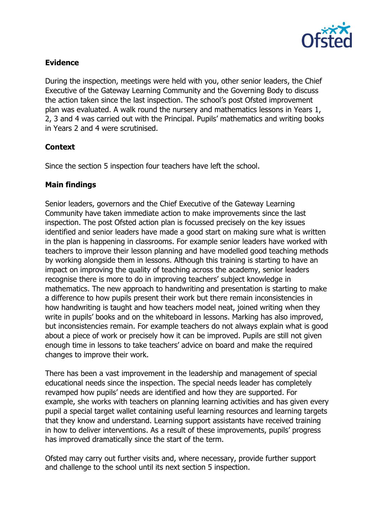

### **Evidence**

During the inspection, meetings were held with you, other senior leaders, the Chief Executive of the Gateway Learning Community and the Governing Body to discuss the action taken since the last inspection. The school's post Ofsted improvement plan was evaluated. A walk round the nursery and mathematics lessons in Years 1, 2, 3 and 4 was carried out with the Principal. Pupils' mathematics and writing books in Years 2 and 4 were scrutinised.

# **Context**

Since the section 5 inspection four teachers have left the school.

### **Main findings**

Senior leaders, governors and the Chief Executive of the Gateway Learning Community have taken immediate action to make improvements since the last inspection. The post Ofsted action plan is focussed precisely on the key issues identified and senior leaders have made a good start on making sure what is written in the plan is happening in classrooms. For example senior leaders have worked with teachers to improve their lesson planning and have modelled good teaching methods by working alongside them in lessons. Although this training is starting to have an impact on improving the quality of teaching across the academy, senior leaders recognise there is more to do in improving teachers' subject knowledge in mathematics. The new approach to handwriting and presentation is starting to make a difference to how pupils present their work but there remain inconsistencies in how handwriting is taught and how teachers model neat, joined writing when they write in pupils' books and on the whiteboard in lessons. Marking has also improved, but inconsistencies remain. For example teachers do not always explain what is good about a piece of work or precisely how it can be improved. Pupils are still not given enough time in lessons to take teachers' advice on board and make the required changes to improve their work.

There has been a vast improvement in the leadership and management of special educational needs since the inspection. The special needs leader has completely revamped how pupils' needs are identified and how they are supported. For example, she works with teachers on planning learning activities and has given every pupil a special target wallet containing useful learning resources and learning targets that they know and understand. Learning support assistants have received training in how to deliver interventions. As a result of these improvements, pupils' progress has improved dramatically since the start of the term.

Ofsted may carry out further visits and, where necessary, provide further support and challenge to the school until its next section 5 inspection.